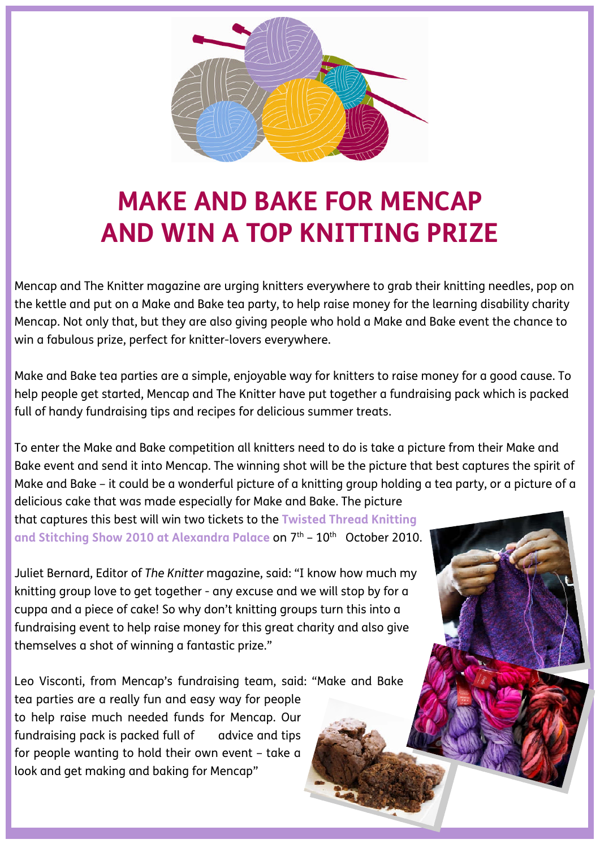

## **MAKE AND BAKE FOR MENCAP AND WIN A TOP KNITTING PRIZE**

Mencap and The Knitter magazine are urging knitters everywhere to grab their knitting needles, pop on the kettle and put on a Make and Bake tea party, to help raise money for the learning disability charity Mencap. Not only that, but they are also giving people who hold a Make and Bake event the chance to win a fabulous prize, perfect for knitter-lovers everywhere.

Make and Bake tea parties are a simple, enjoyable way for knitters to raise money for a good cause. To help people get started, Mencap and The Knitter have put together a fundraising pack which is packed full of handy fundraising tips and recipes for delicious summer treats.

To enter the Make and Bake competition all knitters need to do is take a picture from their Make and Bake event and send it into Mencap. The winning shot will be the picture that best captures the spirit of Make and Bake – it could be a wonderful picture of a knitting group holding a tea party, or a picture of a

delicious cake that was made especially for Make and Bake. The picture that captures this best will win two tickets to the **Twisted Thread Knitting** and Stitching Show 2010 at Alexandra Palace on 7<sup>th</sup> - 10<sup>th</sup> October 2010.

Juliet Bernard, Editor of *The Knitter* magazine, said: "I know how much my knitting group love to get together - any excuse and we will stop by for a cuppa and a piece of cake! So why don't knitting groups turn this into a fundraising event to help raise money for this great charity and also give themselves a shot of winning a fantastic prize."

Leo Visconti, from Mencap's fundraising team, said: "Make and Bake

tea parties are a really fun and easy way for people to help raise much needed funds for Mencap. Our fundraising pack is packed full of advice and tips for people wanting to hold their own event – take a look and get making and baking for Mencap"